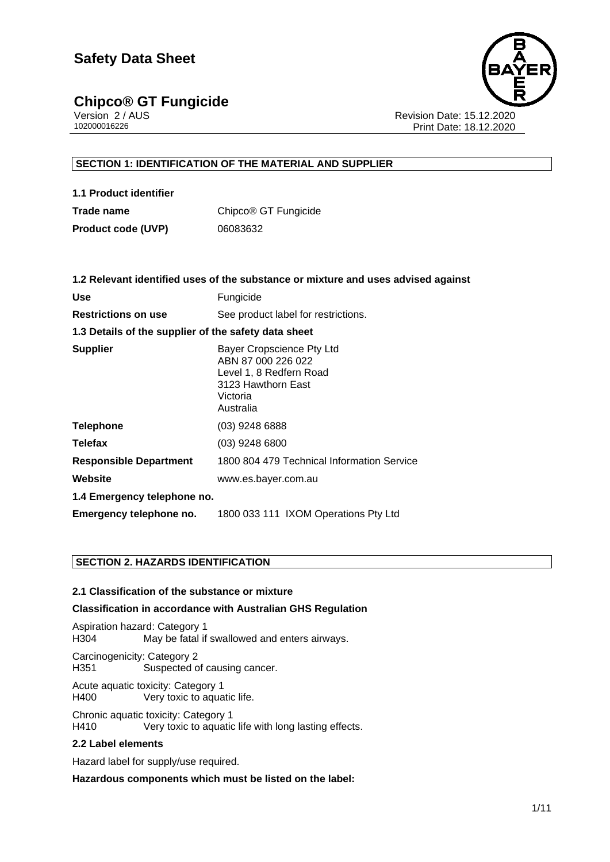# **Chipco® GT Fungicide**<br>Version 2/AUS



Version 2 / AUS Revision Date: 15.12.2020 Print Date: 18.12.2020

# **SECTION 1: IDENTIFICATION OF THE MATERIAL AND SUPPLIER**

| 1.1 Product identifier    |                                  |
|---------------------------|----------------------------------|
| Trade name                | Chipco <sup>®</sup> GT Fungicide |
| <b>Product code (UVP)</b> | 06083632                         |

|                                                      | 1.2 Relevant identified uses of the substance or mixture and uses advised against                                         |
|------------------------------------------------------|---------------------------------------------------------------------------------------------------------------------------|
| <b>Use</b>                                           | Fungicide                                                                                                                 |
| <b>Restrictions on use</b>                           | See product label for restrictions.                                                                                       |
| 1.3 Details of the supplier of the safety data sheet |                                                                                                                           |
| <b>Supplier</b>                                      | Bayer Cropscience Pty Ltd<br>ABN 87 000 226 022<br>Level 1, 8 Redfern Road<br>3123 Hawthorn East<br>Victoria<br>Australia |
| Telephone                                            | $(03)$ 9248 6888                                                                                                          |
| <b>Telefax</b>                                       | (03) 9248 6800                                                                                                            |
| <b>Responsible Department</b>                        | 1800 804 479 Technical Information Service                                                                                |
| Website                                              | www.es.bayer.com.au                                                                                                       |
| 1.4 Emergency telephone no.                          |                                                                                                                           |
| Emergency telephone no.                              | 1800 033 111 IXOM Operations Pty Ltd                                                                                      |
|                                                      |                                                                                                                           |

## **SECTION 2. HAZARDS IDENTIFICATION**

### **2.1 Classification of the substance or mixture**

#### **Classification in accordance with Australian GHS Regulation**

Aspiration hazard: Category 1 H304 May be fatal if swallowed and enters airways.

Carcinogenicity: Category 2 H351 Suspected of causing cancer.

Acute aquatic toxicity: Category 1 H400 Very toxic to aquatic life.

Chronic aquatic toxicity: Category 1 H410 Very toxic to aquatic life with long lasting effects.

#### **2.2 Label elements**

Hazard label for supply/use required.

**Hazardous components which must be listed on the label:**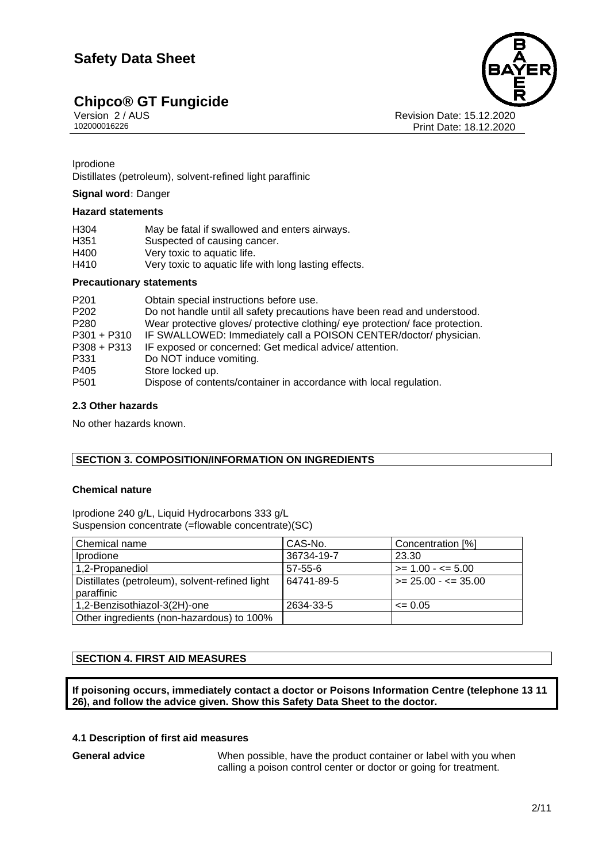# **Chipco® GT Fungicide**<br>Version 2/AUS





Version 2 / AUS Revision Date: 15.12.2020 Print Date: 18.12.2020

### **Iprodione**

• Distillates (petroleum), solvent-refined light paraffinic

## **Signal word:** Danger

# **Hazard statements**

| <b>Precautionary statements</b> |                                                       |  |
|---------------------------------|-------------------------------------------------------|--|
| H410                            | Very toxic to aquatic life with long lasting effects. |  |
| H400                            | Very toxic to aquatic life.                           |  |
| H351                            | Suspected of causing cancer.                          |  |
| H304                            | May be fatal if swallowed and enters airways.         |  |

| P <sub>201</sub> | Obtain special instructions before use.                                       |
|------------------|-------------------------------------------------------------------------------|
| P <sub>202</sub> | Do not handle until all safety precautions have been read and understood.     |
| P <sub>280</sub> | Wear protective gloves/ protective clothing/ eye protection/ face protection. |
| $P301 + P310$    | IF SWALLOWED: Immediately call a POISON CENTER/doctor/ physician.             |
| $P308 + P313$    | IF exposed or concerned: Get medical advice/attention.                        |
| P331             | Do NOT induce vomiting.                                                       |
| P405             | Store locked up.                                                              |
| P <sub>501</sub> | Dispose of contents/container in accordance with local regulation.            |
|                  |                                                                               |

#### **2.3 Other hazards**

No other hazards known.

## **SECTION 3. COMPOSITION/INFORMATION ON INGREDIENTS**

# **Chemical nature**

Iprodione 240 g/L, Liquid Hydrocarbons 333 g/L Suspension concentrate (=flowable concentrate)(SC)

| Chemical name                                                | CAS-No.       | Concentration [%]           |
|--------------------------------------------------------------|---------------|-----------------------------|
| <i>Iprodione</i>                                             | 36734-19-7    | 23.30                       |
| 1,2-Propanediol                                              | $57 - 55 - 6$ | $\ge$ = 1.00 - $\le$ = 5.00 |
| Distillates (petroleum), solvent-refined light<br>paraffinic | 64741-89-5    | $\ge$ 25.00 - $\le$ 35.00   |
| 1,2-Benzisothiazol-3(2H)-one                                 | 2634-33-5     | $\leq 0.05$                 |
| Other ingredients (non-hazardous) to 100%                    |               |                             |

## **SECTION 4. FIRST AID MEASURES**

**If poisoning occurs, immediately contact a doctor or Poisons Information Centre (telephone 13 11 26), and follow the advice given. Show this Safety Data Sheet to the doctor.**

## **4.1 Description of first aid measures**

**General advice** When possible, have the product container or label with you when calling a poison control center or doctor or going for treatment.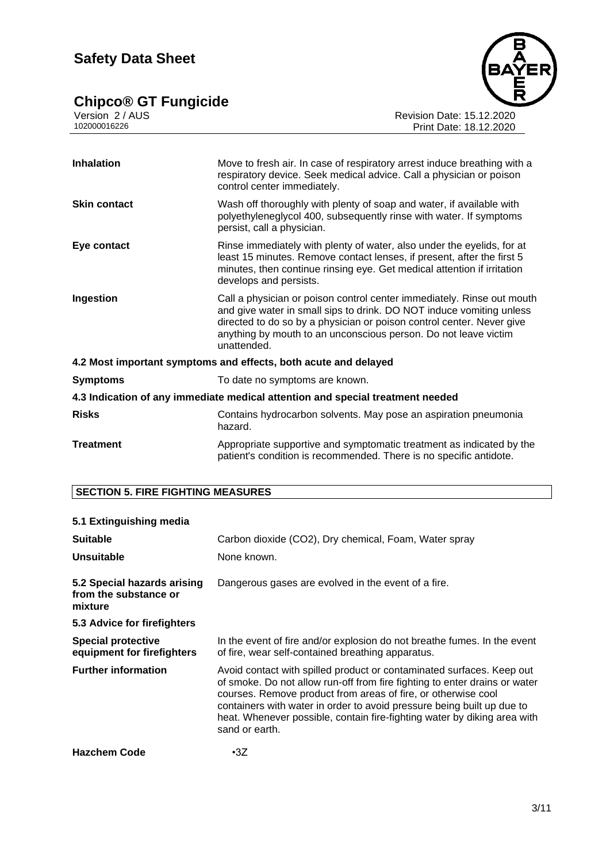# **Chipco® GT Fungicide 2011**



Version 2 / AUS Revision Date: 15.12.2020 102000016226 Print Date: 18.12.2020

| <b>Inhalation</b>                                                              | Move to fresh air. In case of respiratory arrest induce breathing with a<br>respiratory device. Seek medical advice. Call a physician or poison<br>control center immediately.                                                                                                                            |  |
|--------------------------------------------------------------------------------|-----------------------------------------------------------------------------------------------------------------------------------------------------------------------------------------------------------------------------------------------------------------------------------------------------------|--|
| <b>Skin contact</b>                                                            | Wash off thoroughly with plenty of soap and water, if available with<br>polyethyleneglycol 400, subsequently rinse with water. If symptoms<br>persist, call a physician.                                                                                                                                  |  |
| Eye contact                                                                    | Rinse immediately with plenty of water, also under the eyelids, for at<br>least 15 minutes. Remove contact lenses, if present, after the first 5<br>minutes, then continue rinsing eye. Get medical attention if irritation<br>develops and persists.                                                     |  |
| Ingestion                                                                      | Call a physician or poison control center immediately. Rinse out mouth<br>and give water in small sips to drink. DO NOT induce vomiting unless<br>directed to do so by a physician or poison control center. Never give<br>anything by mouth to an unconscious person. Do not leave victim<br>unattended. |  |
| 4.2 Most important symptoms and effects, both acute and delayed                |                                                                                                                                                                                                                                                                                                           |  |
| <b>Symptoms</b>                                                                | To date no symptoms are known.                                                                                                                                                                                                                                                                            |  |
| 4.3 Indication of any immediate medical attention and special treatment needed |                                                                                                                                                                                                                                                                                                           |  |
| <b>Risks</b>                                                                   | Contains hydrocarbon solvents. May pose an aspiration pneumonia<br>hazard.                                                                                                                                                                                                                                |  |
| <b>Treatment</b>                                                               | Appropriate supportive and symptomatic treatment as indicated by the<br>patient's condition is recommended. There is no specific antidote.                                                                                                                                                                |  |

# **SECTION 5. FIRE FIGHTING MEASURES**

# **5.1 Extinguishing media**

| <b>Suitable</b><br><b>Unsuitable</b>                            | Carbon dioxide (CO2), Dry chemical, Foam, Water spray<br>None known.                                                                                                                                                                                                                                                                                                                         |
|-----------------------------------------------------------------|----------------------------------------------------------------------------------------------------------------------------------------------------------------------------------------------------------------------------------------------------------------------------------------------------------------------------------------------------------------------------------------------|
| 5.2 Special hazards arising<br>from the substance or<br>mixture | Dangerous gases are evolved in the event of a fire.                                                                                                                                                                                                                                                                                                                                          |
| 5.3 Advice for firefighters                                     |                                                                                                                                                                                                                                                                                                                                                                                              |
| <b>Special protective</b><br>equipment for firefighters         | In the event of fire and/or explosion do not breathe fumes. In the event<br>of fire, wear self-contained breathing apparatus.                                                                                                                                                                                                                                                                |
| <b>Further information</b>                                      | Avoid contact with spilled product or contaminated surfaces. Keep out<br>of smoke. Do not allow run-off from fire fighting to enter drains or water<br>courses. Remove product from areas of fire, or otherwise cool<br>containers with water in order to avoid pressure being built up due to<br>heat. Whenever possible, contain fire-fighting water by diking area with<br>sand or earth. |
| <b>Hazchem Code</b>                                             | $\cdot$ 3Z                                                                                                                                                                                                                                                                                                                                                                                   |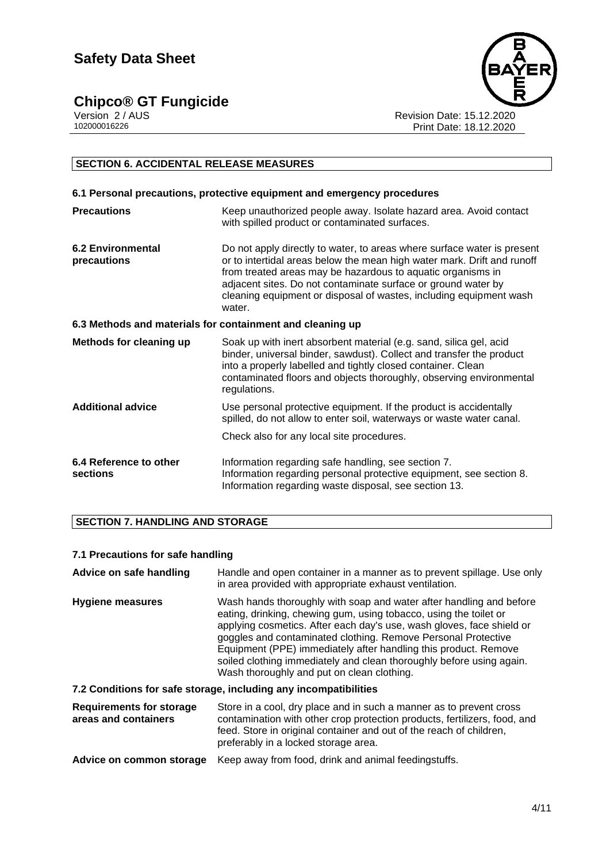**Chipco® GT Fungicide**<br>Version 2/AUS



Version 2 / AUS Revision Date: 15.12.2020 Print Date: 18.12.2020

# **SECTION 6. ACCIDENTAL RELEASE MEASURES**

| 6.1 Personal precautions, protective equipment and emergency procedures |                                                                                                                                                                                                                                                                                                                                                                    |  |  |
|-------------------------------------------------------------------------|--------------------------------------------------------------------------------------------------------------------------------------------------------------------------------------------------------------------------------------------------------------------------------------------------------------------------------------------------------------------|--|--|
| <b>Precautions</b>                                                      | Keep unauthorized people away. Isolate hazard area. Avoid contact<br>with spilled product or contaminated surfaces.                                                                                                                                                                                                                                                |  |  |
| <b>6.2 Environmental</b><br>precautions                                 | Do not apply directly to water, to areas where surface water is present<br>or to intertidal areas below the mean high water mark. Drift and runoff<br>from treated areas may be hazardous to aquatic organisms in<br>adjacent sites. Do not contaminate surface or ground water by<br>cleaning equipment or disposal of wastes, including equipment wash<br>water. |  |  |
| 6.3 Methods and materials for containment and cleaning up               |                                                                                                                                                                                                                                                                                                                                                                    |  |  |
| <b>Methods for cleaning up</b>                                          | Soak up with inert absorbent material (e.g. sand, silica gel, acid<br>binder, universal binder, sawdust). Collect and transfer the product<br>into a properly labelled and tightly closed container. Clean<br>contaminated floors and objects thoroughly, observing environmental<br>regulations.                                                                  |  |  |
| <b>Additional advice</b>                                                | Use personal protective equipment. If the product is accidentally<br>spilled, do not allow to enter soil, waterways or waste water canal.                                                                                                                                                                                                                          |  |  |
|                                                                         | Check also for any local site procedures.                                                                                                                                                                                                                                                                                                                          |  |  |
| 6.4 Reference to other<br>sections                                      | Information regarding safe handling, see section 7.<br>Information regarding personal protective equipment, see section 8.<br>Information regarding waste disposal, see section 13.                                                                                                                                                                                |  |  |

# **SECTION 7. HANDLING AND STORAGE**

## **7.1 Precautions for safe handling**

**Advice on safe handling** Handle and open container in a manner as to prevent spillage. Use only in area provided with appropriate exhaust ventilation. **Hygiene measures** Wash hands thoroughly with soap and water after handling and before eating, drinking, chewing gum, using tobacco, using the toilet or applying cosmetics. After each day's use, wash gloves, face shield or goggles and contaminated clothing. Remove Personal Protective Equipment (PPE) immediately after handling this product. Remove soiled clothing immediately and clean thoroughly before using again. Wash thoroughly and put on clean clothing.

## **7.2 Conditions for safe storage, including any incompatibilities**

| <b>Requirements for storage</b><br>areas and containers | Store in a cool, dry place and in such a manner as to prevent cross<br>contamination with other crop protection products, fertilizers, food, and<br>feed. Store in original container and out of the reach of children,<br>preferably in a locked storage area.                                        |
|---------------------------------------------------------|--------------------------------------------------------------------------------------------------------------------------------------------------------------------------------------------------------------------------------------------------------------------------------------------------------|
|                                                         | A distribution of consideration of the contract of $\mathcal{L}_1$ and $\mathcal{L}_2$ and $\mathcal{L}_3$ and $\mathcal{L}_4$ and $\mathcal{L}_5$ and $\mathcal{L}_6$ and $\mathcal{L}_7$ and $\mathcal{L}_8$ and $\mathcal{L}_7$ and $\mathcal{L}_8$ and $\mathcal{L}_9$ and $\mathcal{L}_9$ and $\$ |

|  |  | Advice on common storage Keep away from food, drink and animal feedingstuffs. |
|--|--|-------------------------------------------------------------------------------|
|--|--|-------------------------------------------------------------------------------|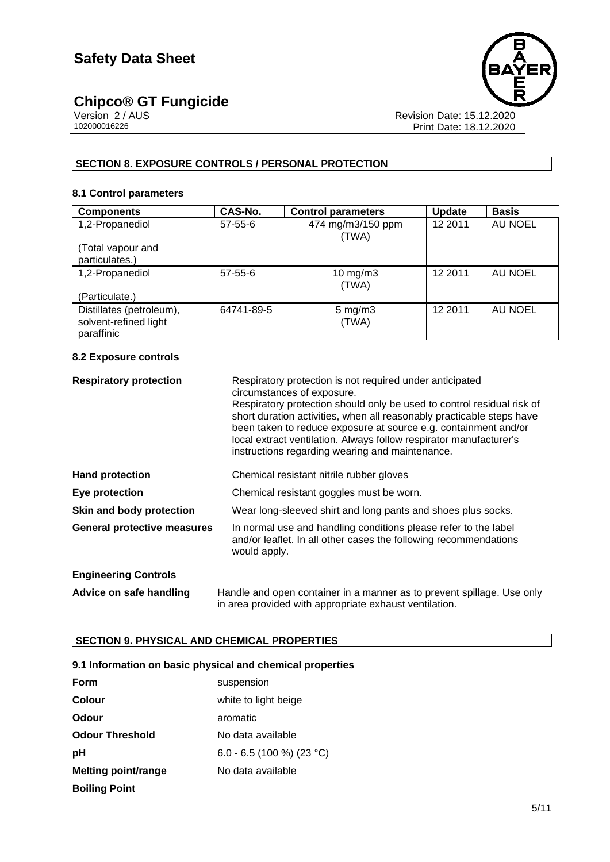# **Chipco® GT Fungicide the system of the system of the system of the system of the system of the system of the system of the system of the system of the system of the system of the system of the system of the system of the**



Version 2 / AUS Revision Date: 15.12.2020 102000016226 Print Date: 18.12.2020

# **SECTION 8. EXPOSURE CONTROLS / PERSONAL PROTECTION**

### **8.1 Control parameters**

| <b>Components</b>                                               | CAS-No.       | <b>Control parameters</b>   | <b>Update</b> | <b>Basis</b>   |
|-----------------------------------------------------------------|---------------|-----------------------------|---------------|----------------|
| 1,2-Propanediol                                                 | $57 - 55 - 6$ | 474 mg/m3/150 ppm<br>(TWA)  | 12 2011       | <b>AU NOEL</b> |
| (Total vapour and<br>particulates.)                             |               |                             |               |                |
| 1,2-Propanediol                                                 | $57 - 55 - 6$ | $10$ mg/m $3$<br>(TWA)      | 12 2011       | AU NOEL        |
| (Particulate.)                                                  |               |                             |               |                |
| Distillates (petroleum),<br>solvent-refined light<br>paraffinic | 64741-89-5    | $5 \text{ mg/m}$ 3<br>(TWA) | 12 2011       | AU NOEL        |

## **8.2 Exposure controls**

| <b>Respiratory protection</b>      | Respiratory protection is not required under anticipated<br>circumstances of exposure.<br>Respiratory protection should only be used to control residual risk of<br>short duration activities, when all reasonably practicable steps have<br>been taken to reduce exposure at source e.g. containment and/or<br>local extract ventilation. Always follow respirator manufacturer's<br>instructions regarding wearing and maintenance. |
|------------------------------------|---------------------------------------------------------------------------------------------------------------------------------------------------------------------------------------------------------------------------------------------------------------------------------------------------------------------------------------------------------------------------------------------------------------------------------------|
| <b>Hand protection</b>             | Chemical resistant nitrile rubber gloves                                                                                                                                                                                                                                                                                                                                                                                              |
| Eye protection                     | Chemical resistant goggles must be worn.                                                                                                                                                                                                                                                                                                                                                                                              |
| Skin and body protection           | Wear long-sleeved shirt and long pants and shoes plus socks.                                                                                                                                                                                                                                                                                                                                                                          |
| <b>General protective measures</b> | In normal use and handling conditions please refer to the label<br>and/or leaflet. In all other cases the following recommendations<br>would apply.                                                                                                                                                                                                                                                                                   |
| <b>Engineering Controls</b>        |                                                                                                                                                                                                                                                                                                                                                                                                                                       |
| Advice on safe handling            | Handle and open container in a manner as to prevent spillage. Use only<br>in area provided with appropriate exhaust ventilation.                                                                                                                                                                                                                                                                                                      |

# **SECTION 9. PHYSICAL AND CHEMICAL PROPERTIES**

## **9.1 Information on basic physical and chemical properties**

| Form                       | suspension                |
|----------------------------|---------------------------|
| Colour                     | white to light beige      |
| Odour                      | aromatic                  |
| <b>Odour Threshold</b>     | No data available         |
| рH                         | 6.0 - 6.5 (100 %) (23 °C) |
| <b>Melting point/range</b> | No data available         |
| <b>Boiling Point</b>       |                           |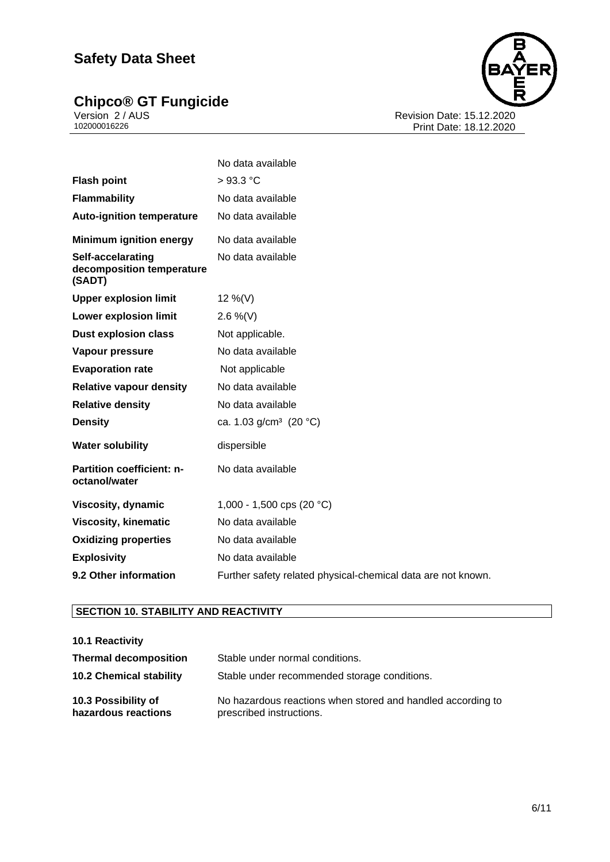# **Chipco® GT Fungicide the contract of the contract of the contract of the contract of the contract of the contract of the contract of the contract of the contract of the contract of the contract of the contract of the cont**



Version 2 / AUS Revision Date: 15.12.2020 102000016226 Print Date: 18.12.2020

|                                                          | No data available                                            |
|----------------------------------------------------------|--------------------------------------------------------------|
| <b>Flash point</b>                                       | $>93.3$ °C                                                   |
| <b>Flammability</b>                                      | No data available                                            |
| <b>Auto-ignition temperature</b>                         | No data available                                            |
| <b>Minimum ignition energy</b>                           | No data available                                            |
| Self-accelarating<br>decomposition temperature<br>(SADT) | No data available                                            |
| <b>Upper explosion limit</b>                             | 12 %(V)                                                      |
| <b>Lower explosion limit</b>                             | 2.6 %(V)                                                     |
| <b>Dust explosion class</b>                              | Not applicable.                                              |
| <b>Vapour pressure</b>                                   | No data available                                            |
| <b>Evaporation rate</b>                                  | Not applicable                                               |
| <b>Relative vapour density</b>                           | No data available                                            |
| <b>Relative density</b>                                  | No data available                                            |
| <b>Density</b>                                           | ca. 1.03 g/cm <sup>3</sup> (20 °C)                           |
| <b>Water solubility</b>                                  | dispersible                                                  |
| Partition coefficient: n-<br>octanol/water               | No data available                                            |
| Viscosity, dynamic                                       | 1,000 - 1,500 cps (20 °C)                                    |
| <b>Viscosity, kinematic</b>                              | No data available                                            |
| <b>Oxidizing properties</b>                              | No data available                                            |
| <b>Explosivity</b>                                       | No data available                                            |
| 9.2 Other information                                    | Further safety related physical-chemical data are not known. |

# **SECTION 10. STABILITY AND REACTIVITY**

#### **10.1 Reactivity Thermal decomposition** Stable under normal conditions. **10.2 Chemical stability** Stable under recommended storage conditions. **10.3 Possibility of hazardous reactions** No hazardous reactions when stored and handled according to prescribed instructions.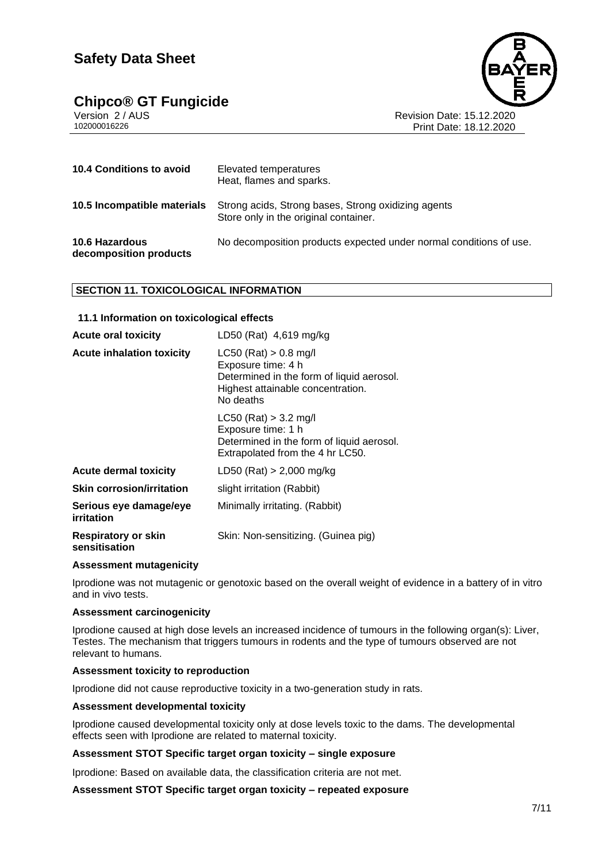# **Chipco® GT Fungicide**



Version 2 / AUS Revision Date: 15.12.2020 Print Date: 18.12.2020

| 10.4 Conditions to avoid                        | Elevated temperatures<br>Heat, flames and sparks.                                            |
|-------------------------------------------------|----------------------------------------------------------------------------------------------|
| 10.5 Incompatible materials                     | Strong acids, Strong bases, Strong oxidizing agents<br>Store only in the original container. |
| <b>10.6 Hazardous</b><br>decomposition products | No decomposition products expected under normal conditions of use.                           |

## **SECTION 11. TOXICOLOGICAL INFORMATION**

#### **11.1 Information on toxicological effects**

| <b>Acute oral toxicity</b>                  | LD50 (Rat) 4,619 mg/kg                                                                                                                         |
|---------------------------------------------|------------------------------------------------------------------------------------------------------------------------------------------------|
| <b>Acute inhalation toxicity</b>            | $LC50$ (Rat) $> 0.8$ mg/l<br>Exposure time: 4 h<br>Determined in the form of liquid aerosol.<br>Highest attainable concentration.<br>No deaths |
|                                             | $LC50$ (Rat) $> 3.2$ mg/l<br>Exposure time: 1 h<br>Determined in the form of liquid aerosol.<br>Extrapolated from the 4 hr LC50.               |
| <b>Acute dermal toxicity</b>                | $LD50$ (Rat) > 2,000 mg/kg                                                                                                                     |
| <b>Skin corrosion/irritation</b>            | slight irritation (Rabbit)                                                                                                                     |
| Serious eye damage/eye<br>irritation        | Minimally irritating. (Rabbit)                                                                                                                 |
| <b>Respiratory or skin</b><br>sensitisation | Skin: Non-sensitizing. (Guinea pig)                                                                                                            |

#### **Assessment mutagenicity**

Iprodione was not mutagenic or genotoxic based on the overall weight of evidence in a battery of in vitro and in vivo tests.

#### **Assessment carcinogenicity**

Iprodione caused at high dose levels an increased incidence of tumours in the following organ(s): Liver, Testes. The mechanism that triggers tumours in rodents and the type of tumours observed are not relevant to humans.

#### **Assessment toxicity to reproduction**

Iprodione did not cause reproductive toxicity in a two-generation study in rats.

#### **Assessment developmental toxicity**

Iprodione caused developmental toxicity only at dose levels toxic to the dams. The developmental effects seen with Iprodione are related to maternal toxicity.

#### **Assessment STOT Specific target organ toxicity – single exposure**

Iprodione: Based on available data, the classification criteria are not met.

**Assessment STOT Specific target organ toxicity – repeated exposure**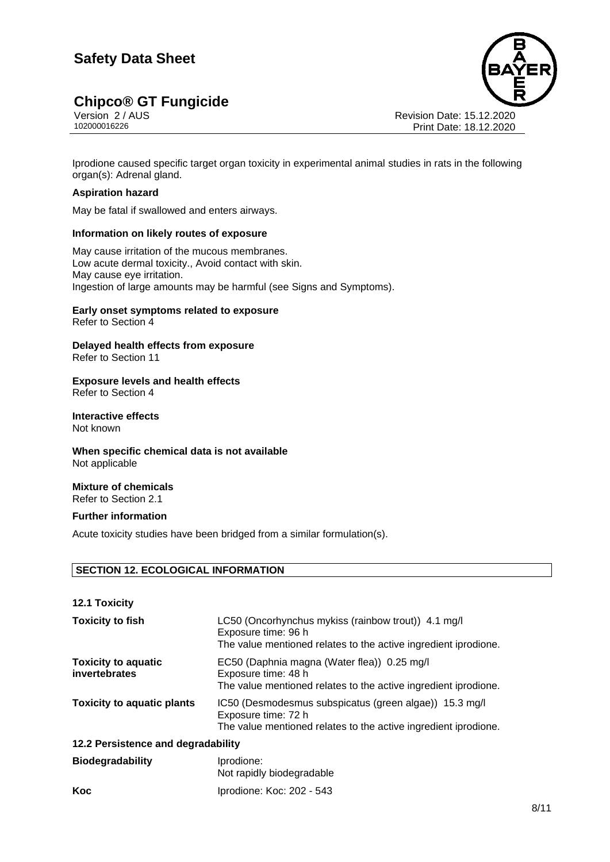# **Chipco® GT Fungicide**<br>Version 2/AUS



Version 2 / AUS Revision Date: 15.12.2020 Print Date: 18.12.2020

Iprodione caused specific target organ toxicity in experimental animal studies in rats in the following organ(s): Adrenal gland.

#### **Aspiration hazard**

May be fatal if swallowed and enters airways.

#### **Information on likely routes of exposure**

May cause irritation of the mucous membranes. Low acute dermal toxicity., Avoid contact with skin. May cause eye irritation. Ingestion of large amounts may be harmful (see Signs and Symptoms).

# **Early onset symptoms related to exposure**

Refer to Section 4

#### **Delayed health effects from exposure** Refer to Section 11

#### **Exposure levels and health effects** Refer to Section 4

**Interactive effects** Not known

# **When specific chemical data is not available** Not applicable

#### **Mixture of chemicals** Refer to Section 2.1

## **Further information**

Acute toxicity studies have been bridged from a similar formulation(s).

## **SECTION 12. ECOLOGICAL INFORMATION**

| <b>12.1 Toxicity</b>                        |                                                                                                                                                  |
|---------------------------------------------|--------------------------------------------------------------------------------------------------------------------------------------------------|
| <b>Toxicity to fish</b>                     | LC50 (Oncorhynchus mykiss (rainbow trout)) 4.1 mg/l<br>Exposure time: 96 h<br>The value mentioned relates to the active ingredient iprodione.    |
| <b>Toxicity to aquatic</b><br>invertebrates | EC50 (Daphnia magna (Water flea)) 0.25 mg/l<br>Exposure time: 48 h<br>The value mentioned relates to the active ingredient iprodione.            |
| <b>Toxicity to aquatic plants</b>           | IC50 (Desmodesmus subspicatus (green algae)) 15.3 mg/l<br>Exposure time: 72 h<br>The value mentioned relates to the active ingredient iprodione. |
| 12.2 Persistence and degradability          |                                                                                                                                                  |
| <b>Biodegradability</b>                     | Iprodione:<br>Not rapidly biodegradable                                                                                                          |
| Koc                                         | Iprodione: Koc: 202 - 543                                                                                                                        |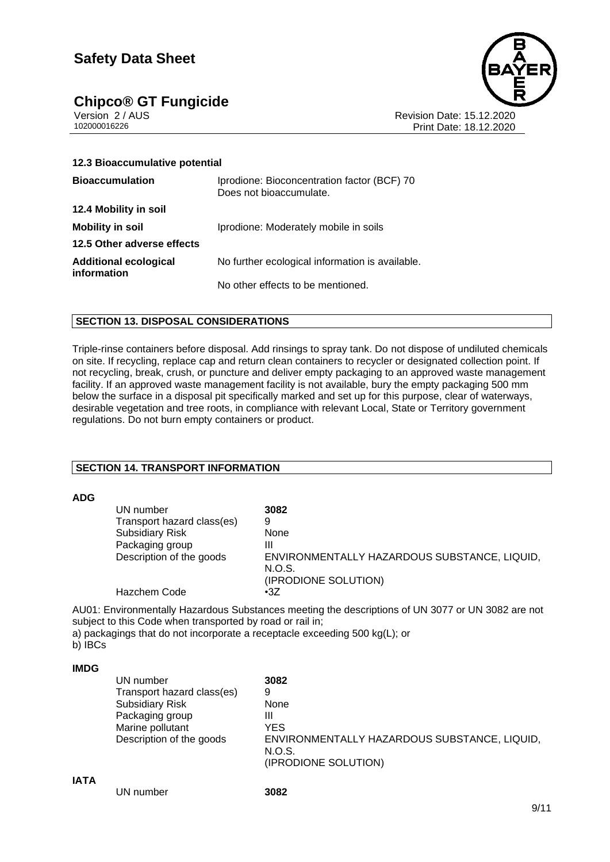# **Chipco® GT Fungicide**<br>Version 2/AUS



Version 2 / AUS Revision Date: 15.12.2020 Print Date: 18.12.2020

| 12.3 Bioaccumulative potential              |                                                                        |
|---------------------------------------------|------------------------------------------------------------------------|
| <b>Bioaccumulation</b>                      | Iprodione: Bioconcentration factor (BCF) 70<br>Does not bioaccumulate. |
| 12.4 Mobility in soil                       |                                                                        |
| <b>Mobility in soil</b>                     | Iprodione: Moderately mobile in soils                                  |
| 12.5 Other adverse effects                  |                                                                        |
| <b>Additional ecological</b><br>information | No further ecological information is available.                        |
|                                             | No other effects to be mentioned.                                      |

# **SECTION 13. DISPOSAL CONSIDERATIONS**

Triple-rinse containers before disposal. Add rinsings to spray tank. Do not dispose of undiluted chemicals on site. If recycling, replace cap and return clean containers to recycler or designated collection point. If not recycling, break, crush, or puncture and deliver empty packaging to an approved waste management facility. If an approved waste management facility is not available, bury the empty packaging 500 mm below the surface in a disposal pit specifically marked and set up for this purpose, clear of waterways, desirable vegetation and tree roots, in compliance with relevant Local, State or Territory government regulations. Do not burn empty containers or product.

## **SECTION 14. TRANSPORT INFORMATION**

#### **ADG**

| UN number                  | 3082                                         |
|----------------------------|----------------------------------------------|
| Transport hazard class(es) | 9                                            |
| <b>Subsidiary Risk</b>     | None                                         |
| Packaging group            | Ш                                            |
| Description of the goods   | ENVIRONMENTALLY HAZARDOUS SUBSTANCE, LIQUID, |
|                            | N.O.S.                                       |
|                            | (IPRODIONE SOLUTION)                         |
| Hazchem Code               | $\cdot 37$                                   |

AU01: Environmentally Hazardous Substances meeting the descriptions of UN 3077 or UN 3082 are not subject to this Code when transported by road or rail in; a) packagings that do not incorporate a receptacle exceeding 500 kg(L); or

b) **IBCs** 

#### **IMDG**

| UN number                  | 3082                                                                           |
|----------------------------|--------------------------------------------------------------------------------|
| Transport hazard class(es) | 9                                                                              |
| <b>Subsidiary Risk</b>     | None                                                                           |
| Packaging group            | Ш                                                                              |
| Marine pollutant           | YES                                                                            |
| Description of the goods   | ENVIRONMENTALLY HAZARDOUS SUBSTANCE, LIQUID,<br>N.O.S.<br>(IPRODIONE SOLUTION) |

#### **IATA**

| UN number | 3082 |
|-----------|------|
|-----------|------|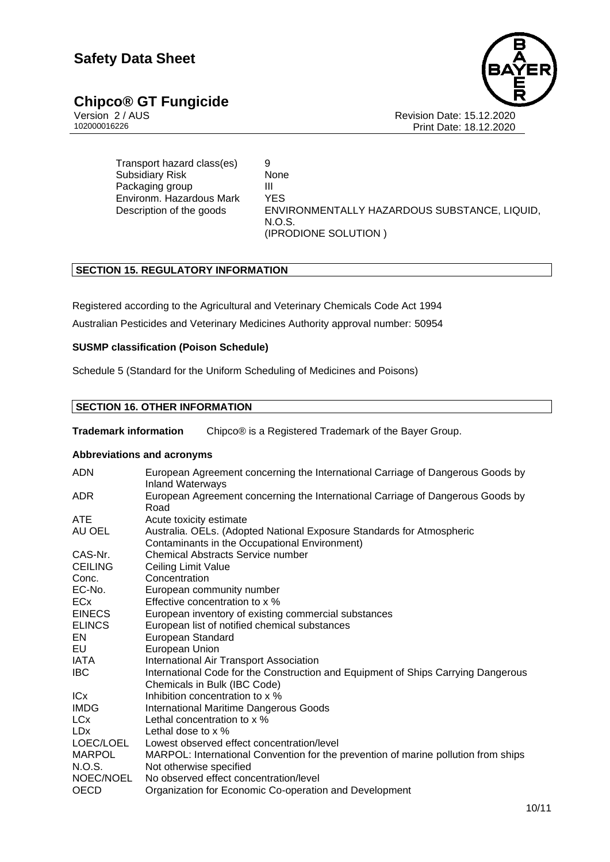# **Chipco® GT Fungicide**<br>Version 2/AUS

Version 2 / AUS Revision Date: 15.12.2020 Print Date: 18.12.2020

Transport hazard class(es) 9 Subsidiary Risk None Packaging group III Environm. Hazardous Mark YES

Description of the goods ENVIRONMENTALLY HAZARDOUS SUBSTANCE, LIQUID, N.O.S. (IPRODIONE SOLUTION )

# **SECTION 15. REGULATORY INFORMATION**

Registered according to the Agricultural and Veterinary Chemicals Code Act 1994 Australian Pesticides and Veterinary Medicines Authority approval number: 50954

## **SUSMP classification (Poison Schedule)**

Schedule 5 (Standard for the Uniform Scheduling of Medicines and Poisons)

# **SECTION 16. OTHER INFORMATION**

**Trademark information** Chipco® is a Registered Trademark of the Bayer Group.

## **Abbreviations and acronyms**

| <b>ADN</b>     | European Agreement concerning the International Carriage of Dangerous Goods by<br><b>Inland Waterways</b> |
|----------------|-----------------------------------------------------------------------------------------------------------|
| ADR.           | European Agreement concerning the International Carriage of Dangerous Goods by<br>Road                    |
| <b>ATE</b>     | Acute toxicity estimate                                                                                   |
| AU OEL         | Australia. OELs. (Adopted National Exposure Standards for Atmospheric                                     |
|                | Contaminants in the Occupational Environment)                                                             |
| CAS-Nr.        | <b>Chemical Abstracts Service number</b>                                                                  |
| <b>CEILING</b> | Ceiling Limit Value                                                                                       |
| Conc.          | Concentration                                                                                             |
| EC-No.         | European community number                                                                                 |
| <b>ECx</b>     | Effective concentration to x %                                                                            |
| <b>EINECS</b>  | European inventory of existing commercial substances                                                      |
| <b>ELINCS</b>  | European list of notified chemical substances                                                             |
| EN             | European Standard                                                                                         |
| EU             | European Union                                                                                            |
| IATA           | International Air Transport Association                                                                   |
| <b>IBC</b>     | International Code for the Construction and Equipment of Ships Carrying Dangerous                         |
|                | Chemicals in Bulk (IBC Code)                                                                              |
| ICx            | Inhibition concentration to x %                                                                           |
| <b>IMDG</b>    | <b>International Maritime Dangerous Goods</b>                                                             |
| LCx            | Lethal concentration to x %                                                                               |
| <b>LDx</b>     | Lethal dose to $\times$ %                                                                                 |
| LOEC/LOEL      | Lowest observed effect concentration/level                                                                |
| <b>MARPOL</b>  | MARPOL: International Convention for the prevention of marine pollution from ships                        |
| N.O.S.         | Not otherwise specified                                                                                   |
| NOEC/NOEL      | No observed effect concentration/level                                                                    |
| OECD           | Organization for Economic Co-operation and Development                                                    |